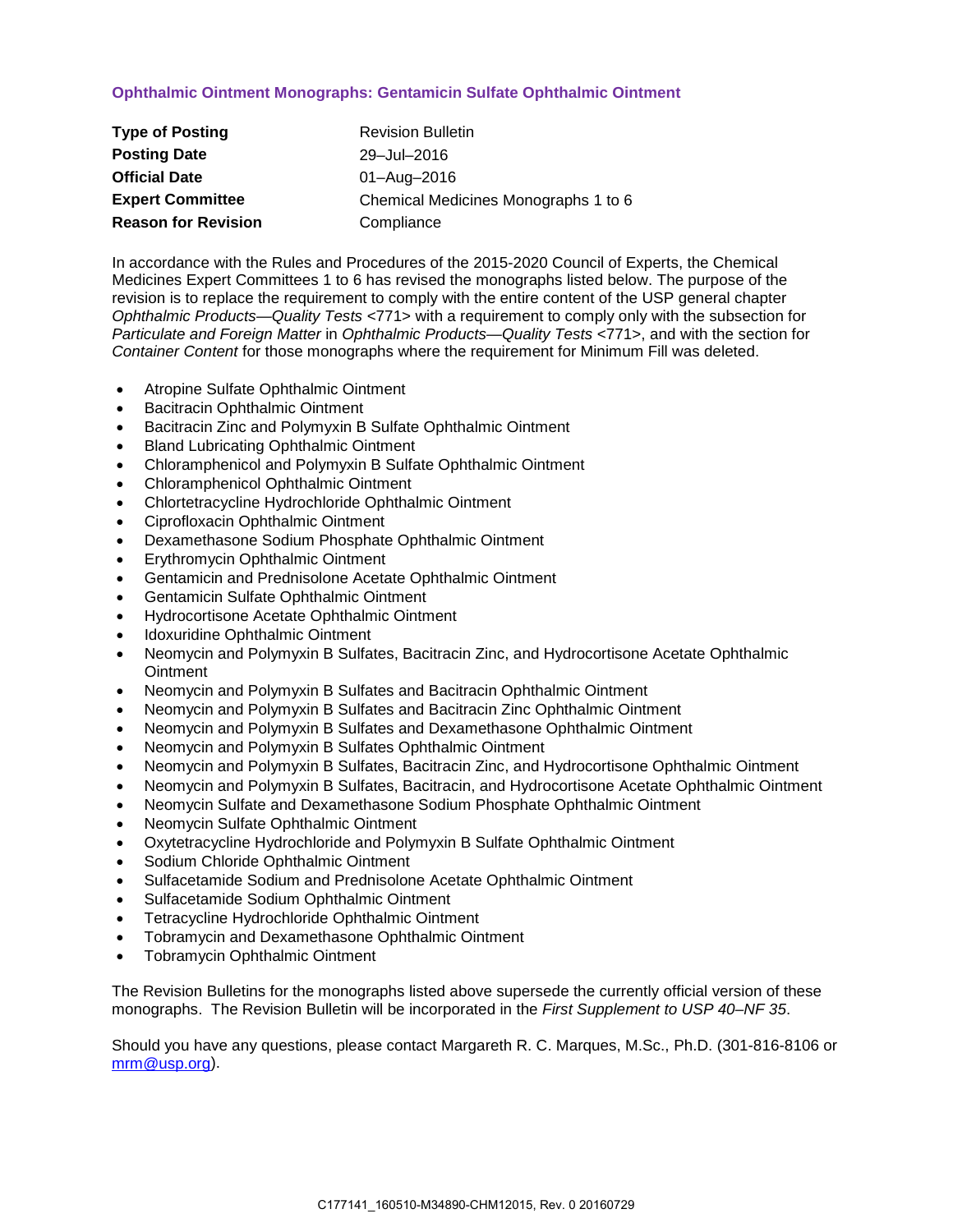## **Ophthalmic Ointment Monographs: Gentamicin Sulfate Ophthalmic Ointment**

| <b>Type of Posting</b>     | <b>Revision Bulletin</b>             |
|----------------------------|--------------------------------------|
| <b>Posting Date</b>        | 29-Jul-2016                          |
| <b>Official Date</b>       | 01-Aug-2016                          |
| <b>Expert Committee</b>    | Chemical Medicines Monographs 1 to 6 |
| <b>Reason for Revision</b> | Compliance                           |

In accordance with the Rules and Procedures of the 2015-2020 Council of Experts, the Chemical Medicines Expert Committees 1 to 6 has revised the monographs listed below. The purpose of the revision is to replace the requirement to comply with the entire content of the USP general chapter *Ophthalmic Products—Quality Tests* <771> with a requirement to comply only with the subsection for *Particulate and Foreign Matter* in *Ophthalmic Products—Quality Tests* <771>, and with the section for *Container Content* for those monographs where the requirement for Minimum Fill was deleted.

- Atropine Sulfate Ophthalmic Ointment
- Bacitracin Ophthalmic Ointment
- Bacitracin Zinc and Polymyxin B Sulfate Ophthalmic Ointment
- Bland Lubricating Ophthalmic Ointment
- Chloramphenicol and Polymyxin B Sulfate Ophthalmic Ointment
- Chloramphenicol Ophthalmic Ointment
- Chlortetracycline Hydrochloride Ophthalmic Ointment
- Ciprofloxacin Ophthalmic Ointment
- Dexamethasone Sodium Phosphate Ophthalmic Ointment
- Erythromycin Ophthalmic Ointment
- Gentamicin and Prednisolone Acetate Ophthalmic Ointment
- Gentamicin Sulfate Ophthalmic Ointment
- Hydrocortisone Acetate Ophthalmic Ointment
- Idoxuridine Ophthalmic Ointment
- Neomycin and Polymyxin B Sulfates, Bacitracin Zinc, and Hydrocortisone Acetate Ophthalmic **Ointment**
- Neomycin and Polymyxin B Sulfates and Bacitracin Ophthalmic Ointment
- Neomycin and Polymyxin B Sulfates and Bacitracin Zinc Ophthalmic Ointment
- Neomycin and Polymyxin B Sulfates and Dexamethasone Ophthalmic Ointment
- Neomycin and Polymyxin B Sulfates Ophthalmic Ointment
- Neomycin and Polymyxin B Sulfates, Bacitracin Zinc, and Hydrocortisone Ophthalmic Ointment
- Neomycin and Polymyxin B Sulfates, Bacitracin, and Hydrocortisone Acetate Ophthalmic Ointment
- Neomycin Sulfate and Dexamethasone Sodium Phosphate Ophthalmic Ointment
- Neomycin Sulfate Ophthalmic Ointment
- Oxytetracycline Hydrochloride and Polymyxin B Sulfate Ophthalmic Ointment
- Sodium Chloride Ophthalmic Ointment
- Sulfacetamide Sodium and Prednisolone Acetate Ophthalmic Ointment
- Sulfacetamide Sodium Ophthalmic Ointment
- Tetracycline Hydrochloride Ophthalmic Ointment
- Tobramycin and Dexamethasone Ophthalmic Ointment
- Tobramycin Ophthalmic Ointment

The Revision Bulletins for the monographs listed above supersede the currently official version of these monographs. The Revision Bulletin will be incorporated in the *First Supplement to USP 40–NF 35*.

Should you have any questions, please contact Margareth R. C. Marques, M.Sc., Ph.D. (301-816-8106 or [mrm@usp.org\)](mailto:mrm@usp.org).